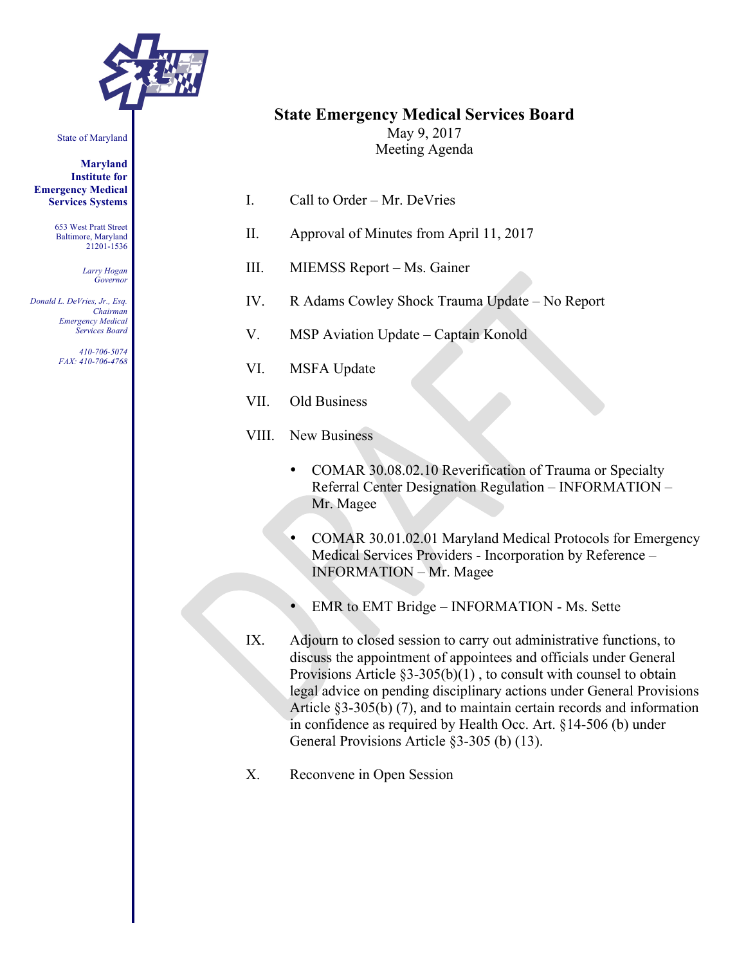

#### State of Maryland

**Maryland Institute for Emergency Medical Services Systems**

> 653 West Pratt Street Baltimore, Maryland 21201-1536

> > *Larry Hogan Governor*

*Donald L. DeVries, Jr., Esq. Chairman Emergency Medical Services Board*

> *410-706-5074 FAX: 410-706-4768*

# **State Emergency Medical Services Board**

May 9, 2017 Meeting Agenda

- I. Call to Order Mr. DeVries
- II. Approval of Minutes from April 11, 2017
- III. MIEMSS Report Ms. Gainer
- IV. R Adams Cowley Shock Trauma Update No Report
- V. MSP Aviation Update Captain Konold
- VI. MSFA Update
- VII. Old Business
- VIII. New Business
	- COMAR 30.08.02.10 Reverification of Trauma or Specialty Referral Center Designation Regulation – INFORMATION – Mr. Magee
	- COMAR 30.01.02.01 Maryland Medical Protocols for Emergency Medical Services Providers - Incorporation by Reference – INFORMATION – Mr. Magee
	- EMR to EMT Bridge INFORMATION Ms. Sette
- IX. Adjourn to closed session to carry out administrative functions, to discuss the appointment of appointees and officials under General Provisions Article  $\S3-305(b)(1)$ , to consult with counsel to obtain legal advice on pending disciplinary actions under General Provisions Article §3-305(b) (7), and to maintain certain records and information in confidence as required by Health Occ. Art. §14-506 (b) under General Provisions Article §3-305 (b) (13).
- X. Reconvene in Open Session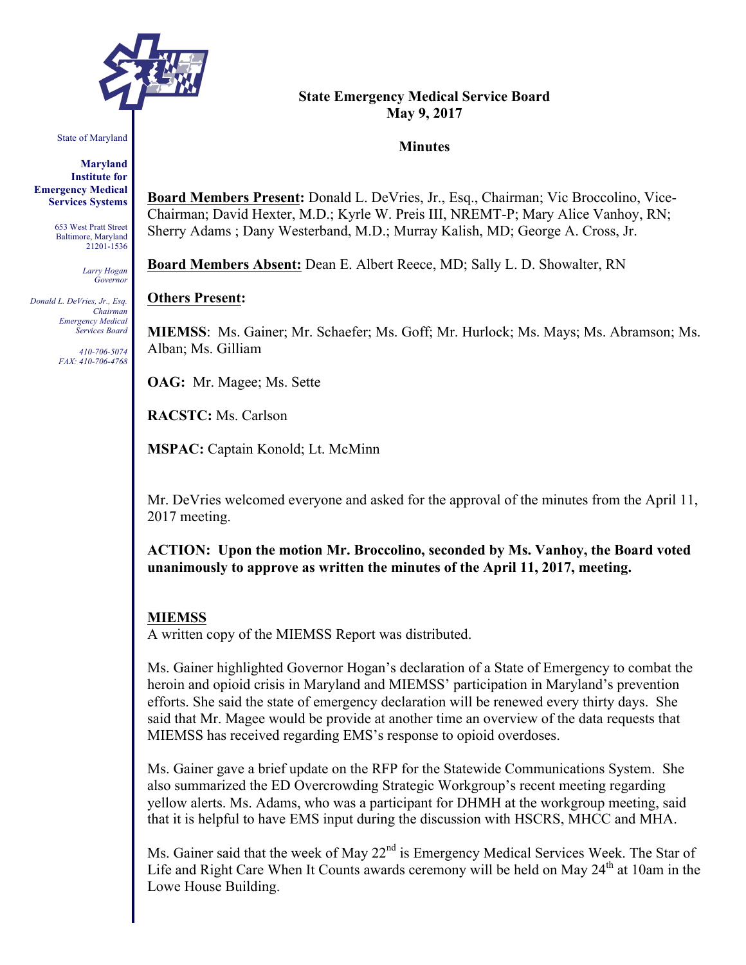

State of Maryland

**Maryland Institute for Emergency Medical Services Systems**

> 653 West Pratt Street Baltimore, Maryland 21201-1536

> > *Larry Hogan Governor*

*Donald L. DeVries, Jr., Esq. Chairman Emergency Medical Services Board*

> *410-706-5074 FAX: 410-706-4768*

#### **State Emergency Medical Service Board May 9, 2017**

#### **Minutes**

**Board Members Present:** Donald L. DeVries, Jr., Esq., Chairman; Vic Broccolino, Vice-Chairman; David Hexter, M.D.; Kyrle W. Preis III, NREMT-P; Mary Alice Vanhoy, RN; Sherry Adams ; Dany Westerband, M.D.; Murray Kalish, MD; George A. Cross, Jr.

**Board Members Absent:** Dean E. Albert Reece, MD; Sally L. D. Showalter, RN

#### **Others Present:**

**MIEMSS**: Ms. Gainer; Mr. Schaefer; Ms. Goff; Mr. Hurlock; Ms. Mays; Ms. Abramson; Ms. Alban; Ms. Gilliam

**OAG:** Mr. Magee; Ms. Sette

**RACSTC:** Ms. Carlson

**MSPAC:** Captain Konold; Lt. McMinn

Mr. DeVries welcomed everyone and asked for the approval of the minutes from the April 11, 2017 meeting.

**ACTION: Upon the motion Mr. Broccolino, seconded by Ms. Vanhoy, the Board voted unanimously to approve as written the minutes of the April 11, 2017, meeting.**

#### **MIEMSS**

A written copy of the MIEMSS Report was distributed.

Ms. Gainer highlighted Governor Hogan's declaration of a State of Emergency to combat the heroin and opioid crisis in Maryland and MIEMSS' participation in Maryland's prevention efforts. She said the state of emergency declaration will be renewed every thirty days. She said that Mr. Magee would be provide at another time an overview of the data requests that MIEMSS has received regarding EMS's response to opioid overdoses.

Ms. Gainer gave a brief update on the RFP for the Statewide Communications System. She also summarized the ED Overcrowding Strategic Workgroup's recent meeting regarding yellow alerts. Ms. Adams, who was a participant for DHMH at the workgroup meeting, said that it is helpful to have EMS input during the discussion with HSCRS, MHCC and MHA.

Ms. Gainer said that the week of May 22<sup>nd</sup> is Emergency Medical Services Week. The Star of Life and Right Care When It Counts awards ceremony will be held on May 24<sup>th</sup> at 10am in the Lowe House Building.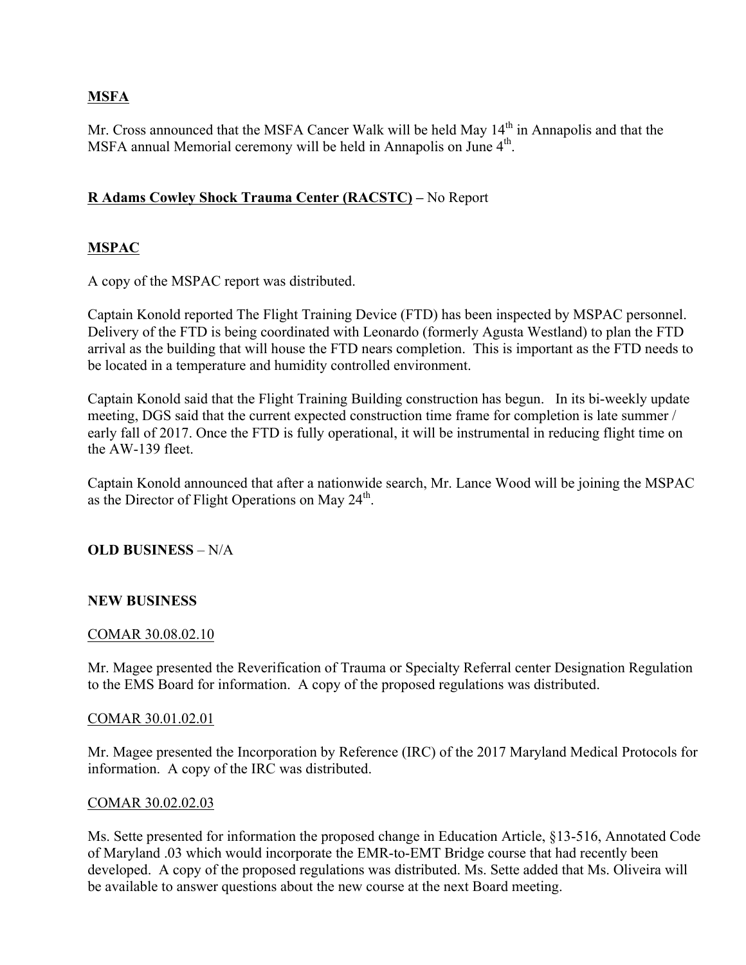# **MSFA**

Mr. Cross announced that the MSFA Cancer Walk will be held May 14<sup>th</sup> in Annapolis and that the MSFA annual Memorial ceremony will be held in Annapolis on June 4<sup>th</sup>.

# **R Adams Cowley Shock Trauma Center (RACSTC) –** No Report

# **MSPAC**

A copy of the MSPAC report was distributed.

Captain Konold reported The Flight Training Device (FTD) has been inspected by MSPAC personnel. Delivery of the FTD is being coordinated with Leonardo (formerly Agusta Westland) to plan the FTD arrival as the building that will house the FTD nears completion. This is important as the FTD needs to be located in a temperature and humidity controlled environment.

Captain Konold said that the Flight Training Building construction has begun. In its bi-weekly update meeting, DGS said that the current expected construction time frame for completion is late summer / early fall of 2017. Once the FTD is fully operational, it will be instrumental in reducing flight time on the AW-139 fleet.

Captain Konold announced that after a nationwide search, Mr. Lance Wood will be joining the MSPAC as the Director of Flight Operations on May  $24^{\text{th}}$ .

# **OLD BUSINESS** – N/A

## **NEW BUSINESS**

## COMAR 30.08.02.10

Mr. Magee presented the Reverification of Trauma or Specialty Referral center Designation Regulation to the EMS Board for information. A copy of the proposed regulations was distributed.

## COMAR 30.01.02.01

Mr. Magee presented the Incorporation by Reference (IRC) of the 2017 Maryland Medical Protocols for information. A copy of the IRC was distributed.

## COMAR 30.02.02.03

Ms. Sette presented for information the proposed change in Education Article, §13-516, Annotated Code of Maryland .03 which would incorporate the EMR-to-EMT Bridge course that had recently been developed. A copy of the proposed regulations was distributed. Ms. Sette added that Ms. Oliveira will be available to answer questions about the new course at the next Board meeting.